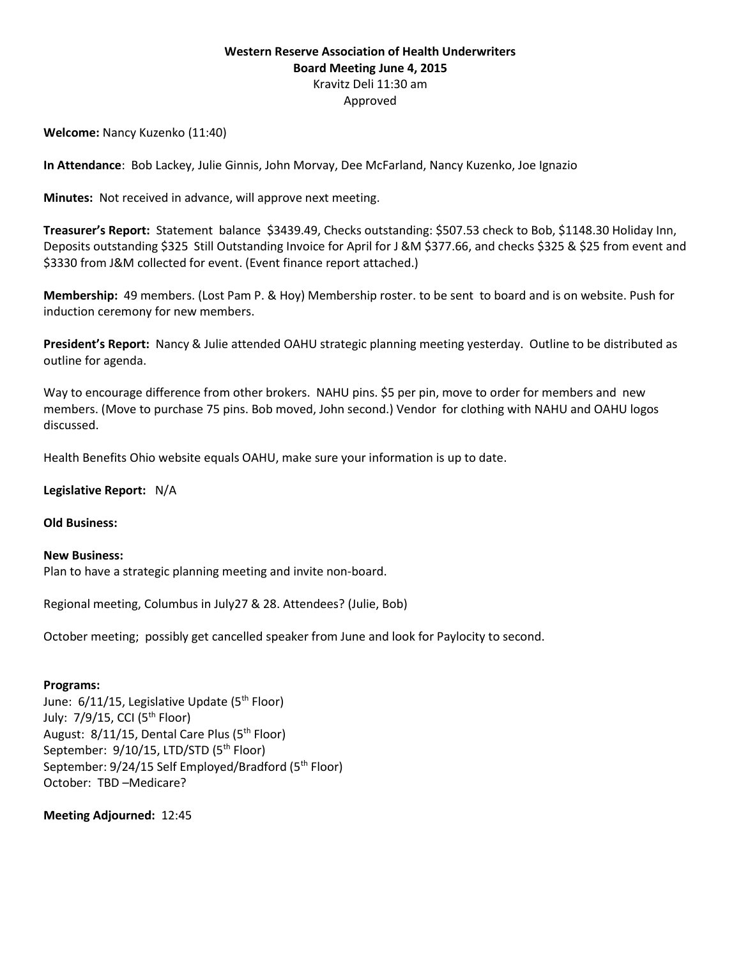## **Western Reserve Association of Health Underwriters Board Meeting June 4, 2015** Kravitz Deli 11:30 am Approved

**Welcome:** Nancy Kuzenko (11:40)

**In Attendance**: Bob Lackey, Julie Ginnis, John Morvay, Dee McFarland, Nancy Kuzenko, Joe Ignazio

**Minutes:** Not received in advance, will approve next meeting.

**Treasurer's Report:** Statement balance \$3439.49, Checks outstanding: \$507.53 check to Bob, \$1148.30 Holiday Inn, Deposits outstanding \$325 Still Outstanding Invoice for April for J &M \$377.66, and checks \$325 & \$25 from event and \$3330 from J&M collected for event. (Event finance report attached.)

**Membership:** 49 members. (Lost Pam P. & Hoy) Membership roster. to be sent to board and is on website. Push for induction ceremony for new members.

**President's Report:** Nancy & Julie attended OAHU strategic planning meeting yesterday. Outline to be distributed as outline for agenda.

Way to encourage difference from other brokers. NAHU pins. \$5 per pin, move to order for members and new members. (Move to purchase 75 pins. Bob moved, John second.) Vendor for clothing with NAHU and OAHU logos discussed.

Health Benefits Ohio website equals OAHU, make sure your information is up to date.

**Legislative Report:** N/A

**Old Business:** 

**New Business:** Plan to have a strategic planning meeting and invite non-board.

Regional meeting, Columbus in July27 & 28. Attendees? (Julie, Bob)

October meeting; possibly get cancelled speaker from June and look for Paylocity to second.

## **Programs:**

June:  $6/11/15$ , Legislative Update ( $5<sup>th</sup>$  Floor) July:  $7/9/15$ , CCI ( $5<sup>th</sup>$  Floor) August: 8/11/15, Dental Care Plus (5<sup>th</sup> Floor) September: 9/10/15, LTD/STD (5<sup>th</sup> Floor) September: 9/24/15 Self Employed/Bradford (5<sup>th</sup> Floor) October: TBD –Medicare?

**Meeting Adjourned:** 12:45